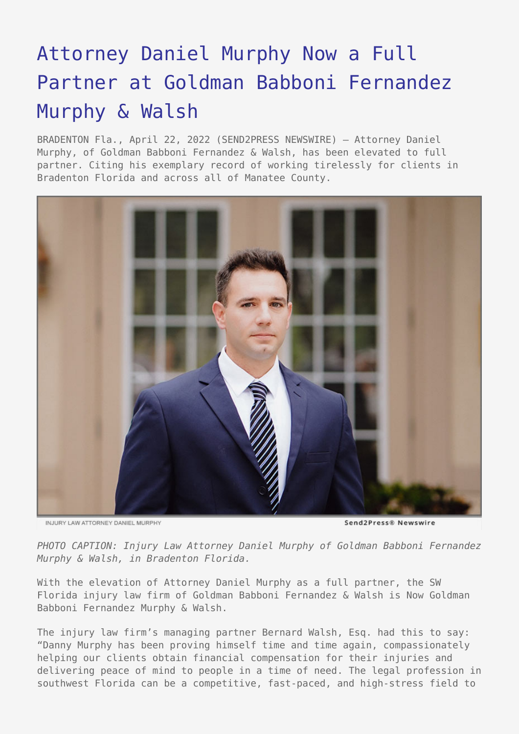## [Attorney Daniel Murphy Now a Full](https://www.send2press.com/wire/attorney-daniel-murphy-now-a-full-partner-at-goldman-babboni-fernandez-murphy-walsh/) [Partner at Goldman Babboni Fernandez](https://www.send2press.com/wire/attorney-daniel-murphy-now-a-full-partner-at-goldman-babboni-fernandez-murphy-walsh/) [Murphy & Walsh](https://www.send2press.com/wire/attorney-daniel-murphy-now-a-full-partner-at-goldman-babboni-fernandez-murphy-walsh/)

BRADENTON Fla., April 22, 2022 (SEND2PRESS NEWSWIRE) — Attorney Daniel Murphy, of Goldman Babboni Fernandez & Walsh, has been elevated to full partner. Citing his exemplary record of working tirelessly for clients in Bradenton Florida and across all of Manatee County.



INJURY LAW ATTORNEY DANIEL MURPHY

Send2Press® Newswire

*PHOTO CAPTION: Injury Law Attorney Daniel Murphy of Goldman Babboni Fernandez Murphy & Walsh, in Bradenton Florida.*

With the elevation of Attorney Daniel Murphy as a full partner, the SW Florida injury law firm of Goldman Babboni Fernandez & Walsh is Now Goldman Babboni Fernandez Murphy & Walsh.

The injury law firm's managing partner Bernard Walsh, Esq. had this to say: "Danny Murphy has been proving himself time and time again, compassionately helping our clients obtain financial compensation for their injuries and delivering peace of mind to people in a time of need. The legal profession in southwest Florida can be a competitive, fast-paced, and high-stress field to